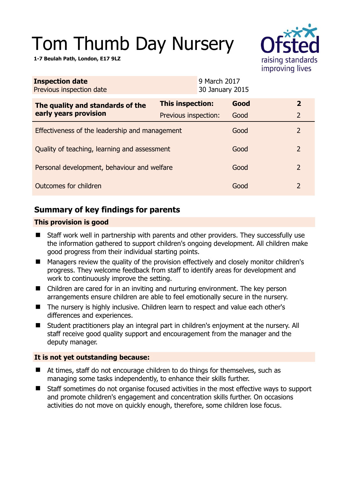# Tom Thumb Day Nursery

**1-7 Beulah Path, London, E17 9LZ** 

| <b>Service</b>    |
|-------------------|
| raising standards |
| improving lives   |

| <b>Inspection date</b><br>Previous inspection date        | 9 March 2017<br>30 January 2015 |      |                |  |
|-----------------------------------------------------------|---------------------------------|------|----------------|--|
| The quality and standards of the<br>early years provision | This inspection:                | Good | $\overline{2}$ |  |
|                                                           | Previous inspection:            | Good | $\overline{2}$ |  |
| Effectiveness of the leadership and management            |                                 |      | 2              |  |
| Quality of teaching, learning and assessment              |                                 |      | 2              |  |
| Personal development, behaviour and welfare               |                                 |      | 2              |  |
| Outcomes for children                                     |                                 |      | 2              |  |

# **Summary of key findings for parents**

## **This provision is good**

- Staff work well in partnership with parents and other providers. They successfully use the information gathered to support children's ongoing development. All children make good progress from their individual starting points.
- Managers review the quality of the provision effectively and closely monitor children's progress. They welcome feedback from staff to identify areas for development and work to continuously improve the setting.
- Children are cared for in an inviting and nurturing environment. The key person arrangements ensure children are able to feel emotionally secure in the nursery.
- The nursery is highly inclusive. Children learn to respect and value each other's differences and experiences.
- Student practitioners play an integral part in children's enjoyment at the nursery. All staff receive good quality support and encouragement from the manager and the deputy manager.

## **It is not yet outstanding because:**

- At times, staff do not encourage children to do things for themselves, such as managing some tasks independently, to enhance their skills further.
- Staff sometimes do not organise focused activities in the most effective ways to support and promote children's engagement and concentration skills further. On occasions activities do not move on quickly enough, therefore, some children lose focus.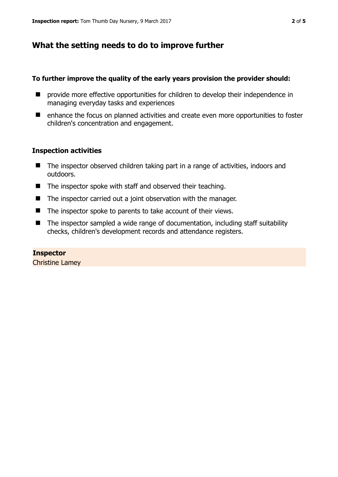## **What the setting needs to do to improve further**

#### **To further improve the quality of the early years provision the provider should:**

- $\blacksquare$  provide more effective opportunities for children to develop their independence in managing everyday tasks and experiences
- enhance the focus on planned activities and create even more opportunities to foster children's concentration and engagement.

#### **Inspection activities**

- The inspector observed children taking part in a range of activities, indoors and outdoors.
- The inspector spoke with staff and observed their teaching.
- The inspector carried out a joint observation with the manager.
- $\blacksquare$  The inspector spoke to parents to take account of their views.
- The inspector sampled a wide range of documentation, including staff suitability checks, children's development records and attendance registers.

**Inspector**  Christine Lamey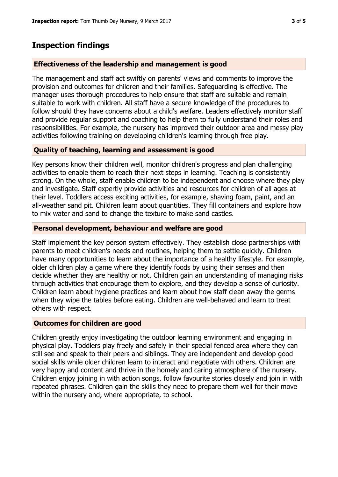# **Inspection findings**

#### **Effectiveness of the leadership and management is good**

The management and staff act swiftly on parents' views and comments to improve the provision and outcomes for children and their families. Safeguarding is effective. The manager uses thorough procedures to help ensure that staff are suitable and remain suitable to work with children. All staff have a secure knowledge of the procedures to follow should they have concerns about a child's welfare. Leaders effectively monitor staff and provide regular support and coaching to help them to fully understand their roles and responsibilities. For example, the nursery has improved their outdoor area and messy play activities following training on developing children's learning through free play.

## **Quality of teaching, learning and assessment is good**

Key persons know their children well, monitor children's progress and plan challenging activities to enable them to reach their next steps in learning. Teaching is consistently strong. On the whole, staff enable children to be independent and choose where they play and investigate. Staff expertly provide activities and resources for children of all ages at their level. Toddlers access exciting activities, for example, shaving foam, paint, and an all-weather sand pit. Children learn about quantities. They fill containers and explore how to mix water and sand to change the texture to make sand castles.

## **Personal development, behaviour and welfare are good**

Staff implement the key person system effectively. They establish close partnerships with parents to meet children's needs and routines, helping them to settle quickly. Children have many opportunities to learn about the importance of a healthy lifestyle. For example, older children play a game where they identify foods by using their senses and then decide whether they are healthy or not. Children gain an understanding of managing risks through activities that encourage them to explore, and they develop a sense of curiosity. Children learn about hygiene practices and learn about how staff clean away the germs when they wipe the tables before eating. Children are well-behaved and learn to treat others with respect.

#### **Outcomes for children are good**

Children greatly enjoy investigating the outdoor learning environment and engaging in physical play. Toddlers play freely and safely in their special fenced area where they can still see and speak to their peers and siblings. They are independent and develop good social skills while older children learn to interact and negotiate with others. Children are very happy and content and thrive in the homely and caring atmosphere of the nursery. Children enjoy joining in with action songs, follow favourite stories closely and join in with repeated phrases. Children gain the skills they need to prepare them well for their move within the nursery and, where appropriate, to school.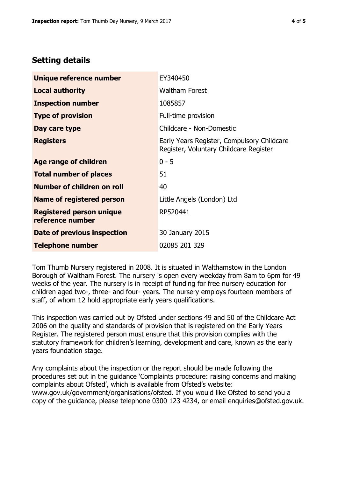# **Setting details**

| Unique reference number                             | EY340450                                                                             |
|-----------------------------------------------------|--------------------------------------------------------------------------------------|
| <b>Local authority</b>                              | <b>Waltham Forest</b>                                                                |
| <b>Inspection number</b>                            | 1085857                                                                              |
| <b>Type of provision</b>                            | Full-time provision                                                                  |
| Day care type                                       | Childcare - Non-Domestic                                                             |
| <b>Registers</b>                                    | Early Years Register, Compulsory Childcare<br>Register, Voluntary Childcare Register |
| <b>Age range of children</b>                        | $0 - 5$                                                                              |
| <b>Total number of places</b>                       | 51                                                                                   |
| Number of children on roll                          | 40                                                                                   |
| <b>Name of registered person</b>                    | Little Angels (London) Ltd                                                           |
| <b>Registered person unique</b><br>reference number | RP520441                                                                             |
| Date of previous inspection                         | 30 January 2015                                                                      |
| <b>Telephone number</b>                             | 02085 201 329                                                                        |

Tom Thumb Nursery registered in 2008. It is situated in Walthamstow in the London Borough of Waltham Forest. The nursery is open every weekday from 8am to 6pm for 49 weeks of the year. The nursery is in receipt of funding for free nursery education for children aged two-, three- and four- years. The nursery employs fourteen members of staff, of whom 12 hold appropriate early years qualifications.

This inspection was carried out by Ofsted under sections 49 and 50 of the Childcare Act 2006 on the quality and standards of provision that is registered on the Early Years Register. The registered person must ensure that this provision complies with the statutory framework for children's learning, development and care, known as the early years foundation stage.

Any complaints about the inspection or the report should be made following the procedures set out in the guidance 'Complaints procedure: raising concerns and making complaints about Ofsted', which is available from Ofsted's website: www.gov.uk/government/organisations/ofsted. If you would like Ofsted to send you a copy of the guidance, please telephone 0300 123 4234, or email enquiries@ofsted.gov.uk.